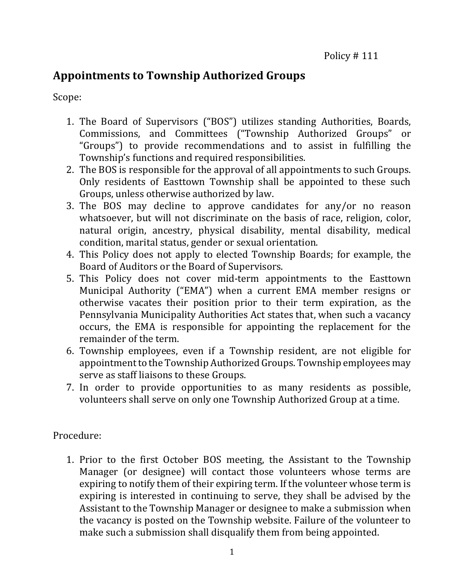## **Appointments to Township Authorized Groups**

Scope:

- 1. The Board of Supervisors ("BOS") utilizes standing Authorities, Boards, Commissions, and Committees ("Township Authorized Groups" or "Groups") to provide recommendations and to assist in fulfilling the Township's functions and required responsibilities.
- 2. The BOS is responsible for the approval of all appointments to such Groups. Only residents of Easttown Township shall be appointed to these such Groups, unless otherwise authorized by law.
- 3. The BOS may decline to approve candidates for any/or no reason whatsoever, but will not discriminate on the basis of race, religion, color, natural origin, ancestry, physical disability, mental disability, medical condition, marital status, gender or sexual orientation.
- 4. This Policy does not apply to elected Township Boards; for example, the Board of Auditors or the Board of Supervisors.
- 5. This Policy does not cover mid-term appointments to the Easttown Municipal Authority ("EMA") when a current EMA member resigns or otherwise vacates their position prior to their term expiration, as the Pennsylvania Municipality Authorities Act states that, when such a vacancy occurs, the EMA is responsible for appointing the replacement for the remainder of the term.
- 6. Township employees, even if a Township resident, are not eligible for appointment to the Township Authorized Groups. Township employees may serve as staff liaisons to these Groups.
- 7. In order to provide opportunities to as many residents as possible, volunteers shall serve on only one Township Authorized Group at a time.

Procedure:

1. Prior to the first October BOS meeting, the Assistant to the Township Manager (or designee) will contact those volunteers whose terms are expiring to notify them of their expiring term. If the volunteer whose term is expiring is interested in continuing to serve, they shall be advised by the Assistant to the Township Manager or designee to make a submission when the vacancy is posted on the Township website. Failure of the volunteer to make such a submission shall disqualify them from being appointed.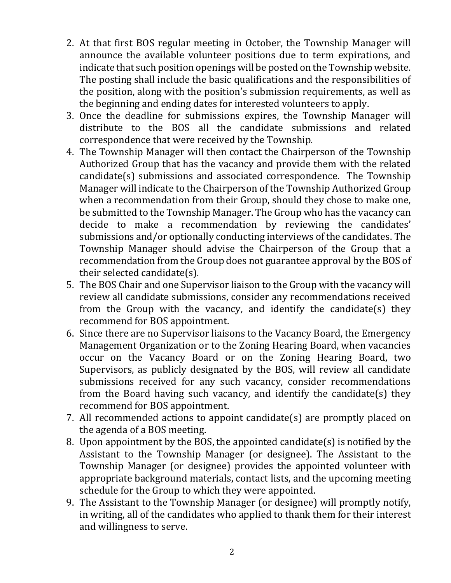- 2. At that first BOS regular meeting in October, the Township Manager will announce the available volunteer positions due to term expirations, and indicate that such position openings will be posted on the Township website. The posting shall include the basic qualifications and the responsibilities of the position, along with the position's submission requirements, as well as the beginning and ending dates for interested volunteers to apply.
- 3. Once the deadline for submissions expires, the Township Manager will distribute to the BOS all the candidate submissions and related correspondence that were received by the Township.
- 4. The Township Manager will then contact the Chairperson of the Township Authorized Group that has the vacancy and provide them with the related candidate(s) submissions and associated correspondence. The Township Manager will indicate to the Chairperson of the Township Authorized Group when a recommendation from their Group, should they chose to make one, be submitted to the Township Manager. The Group who has the vacancy can decide to make a recommendation by reviewing the candidates' submissions and/or optionally conducting interviews of the candidates. The Township Manager should advise the Chairperson of the Group that a recommendation from the Group does not guarantee approval by the BOS of their selected candidate(s).
- 5. The BOS Chair and one Supervisor liaison to the Group with the vacancy will review all candidate submissions, consider any recommendations received from the Group with the vacancy, and identify the candidate(s) they recommend for BOS appointment.
- 6. Since there are no Supervisor liaisons to the Vacancy Board, the Emergency Management Organization or to the Zoning Hearing Board, when vacancies occur on the Vacancy Board or on the Zoning Hearing Board, two Supervisors, as publicly designated by the BOS, will review all candidate submissions received for any such vacancy, consider recommendations from the Board having such vacancy, and identify the candidate(s) they recommend for BOS appointment.
- 7. All recommended actions to appoint candidate(s) are promptly placed on the agenda of a BOS meeting.
- 8. Upon appointment by the BOS, the appointed candidate(s) is notified by the Assistant to the Township Manager (or designee). The Assistant to the Township Manager (or designee) provides the appointed volunteer with appropriate background materials, contact lists, and the upcoming meeting schedule for the Group to which they were appointed.
- 9. The Assistant to the Township Manager (or designee) will promptly notify, in writing, all of the candidates who applied to thank them for their interest and willingness to serve.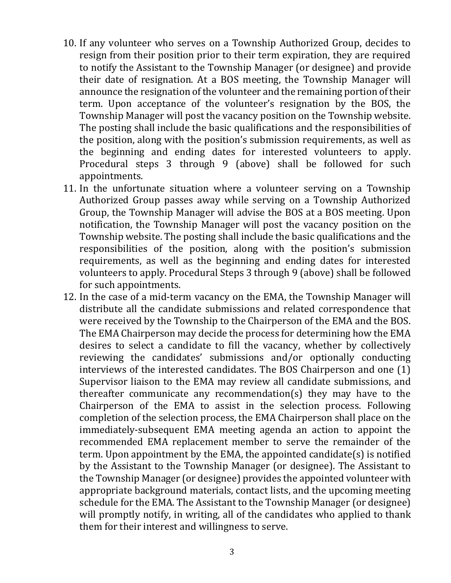- 10. If any volunteer who serves on a Township Authorized Group, decides to resign from their position prior to their term expiration, they are required to notify the Assistant to the Township Manager (or designee) and provide their date of resignation. At a BOS meeting, the Township Manager will announce the resignation of the volunteer and the remaining portion of their term. Upon acceptance of the volunteer's resignation by the BOS, the Township Manager will post the vacancy position on the Township website. The posting shall include the basic qualifications and the responsibilities of the position, along with the position's submission requirements, as well as the beginning and ending dates for interested volunteers to apply. Procedural steps 3 through 9 (above) shall be followed for such appointments.
- 11. In the unfortunate situation where a volunteer serving on a Township Authorized Group passes away while serving on a Township Authorized Group, the Township Manager will advise the BOS at a BOS meeting. Upon notification, the Township Manager will post the vacancy position on the Township website. The posting shall include the basic qualifications and the responsibilities of the position, along with the position's submission requirements, as well as the beginning and ending dates for interested volunteers to apply. Procedural Steps 3 through 9 (above) shall be followed for such appointments.
- 12. In the case of a mid-term vacancy on the EMA, the Township Manager will distribute all the candidate submissions and related correspondence that were received by the Township to the Chairperson of the EMA and the BOS. The EMA Chairperson may decide the process for determining how the EMA desires to select a candidate to fill the vacancy, whether by collectively reviewing the candidates' submissions and/or optionally conducting interviews of the interested candidates. The BOS Chairperson and one (1) Supervisor liaison to the EMA may review all candidate submissions, and thereafter communicate any recommendation(s) they may have to the Chairperson of the EMA to assist in the selection process. Following completion of the selection process, the EMA Chairperson shall place on the immediately-subsequent EMA meeting agenda an action to appoint the recommended EMA replacement member to serve the remainder of the term. Upon appointment by the EMA, the appointed candidate(s) is notified by the Assistant to the Township Manager (or designee). The Assistant to the Township Manager (or designee) provides the appointed volunteer with appropriate background materials, contact lists, and the upcoming meeting schedule for the EMA. The Assistant to the Township Manager (or designee) will promptly notify, in writing, all of the candidates who applied to thank them for their interest and willingness to serve.